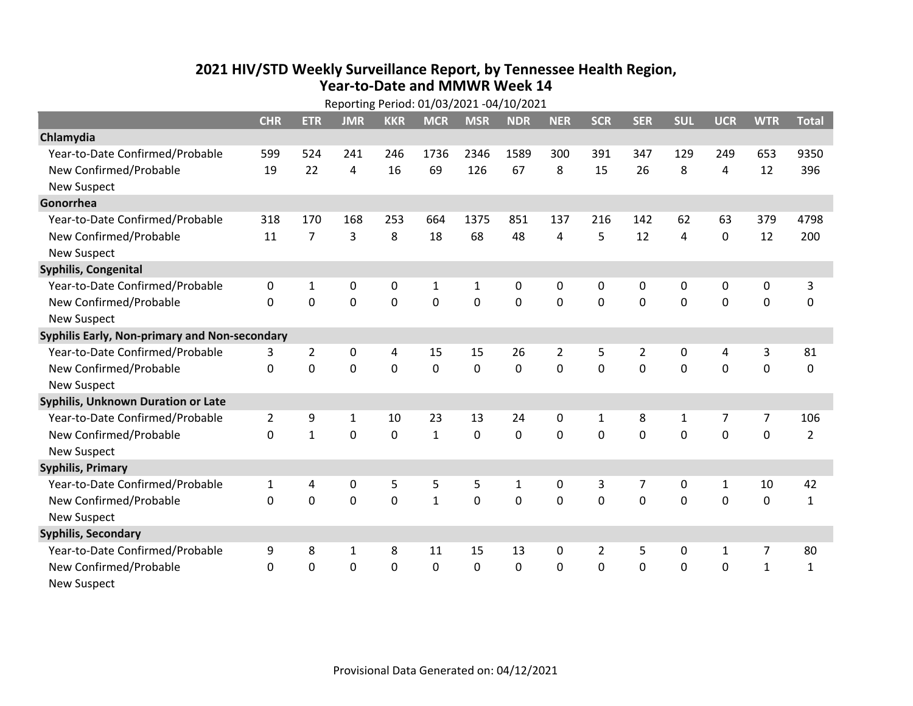## **2021 HIV /STD Weekly Surveillance Report, by Tennessee Health Region, Year‐to‐Date and MMWR Week 14** Reporting Period: 01/03/2021 ‐04/10/2021

| Reporting Period: 01/03/2021 -04/10/2021      |                |                |              |                |              |              |             |                |                |             |              |                |                |                |
|-----------------------------------------------|----------------|----------------|--------------|----------------|--------------|--------------|-------------|----------------|----------------|-------------|--------------|----------------|----------------|----------------|
|                                               | <b>CHR</b>     | <b>ETR</b>     | <b>JMR</b>   | <b>KKR</b>     | <b>MCR</b>   | <b>MSR</b>   | <b>NDR</b>  | <b>NER</b>     | <b>SCR</b>     | <b>SER</b>  | <b>SUL</b>   | <b>UCR</b>     | <b>WTR</b>     | <b>Total</b>   |
| Chlamydia                                     |                |                |              |                |              |              |             |                |                |             |              |                |                |                |
| Year-to-Date Confirmed/Probable               | 599            | 524            | 241          | 246            | 1736         | 2346         | 1589        | 300            | 391            | 347         | 129          | 249            | 653            | 9350           |
| New Confirmed/Probable                        | 19             | 22             | 4            | 16             | 69           | 126          | 67          | 8              | 15             | 26          | 8            | 4              | 12             | 396            |
| <b>New Suspect</b>                            |                |                |              |                |              |              |             |                |                |             |              |                |                |                |
| Gonorrhea                                     |                |                |              |                |              |              |             |                |                |             |              |                |                |                |
| Year-to-Date Confirmed/Probable               | 318            | 170            | 168          | 253            | 664          | 1375         | 851         | 137            | 216            | 142         | 62           | 63             | 379            | 4798           |
| New Confirmed/Probable                        | 11             | $\overline{7}$ | 3            | 8              | 18           | 68           | 48          | 4              | 5              | 12          | 4            | 0              | 12             | 200            |
| <b>New Suspect</b>                            |                |                |              |                |              |              |             |                |                |             |              |                |                |                |
| <b>Syphilis, Congenital</b>                   |                |                |              |                |              |              |             |                |                |             |              |                |                |                |
| Year-to-Date Confirmed/Probable               | 0              | $\mathbf{1}$   | 0            | 0              | $\mathbf{1}$ | $\mathbf{1}$ | 0           | 0              | 0              | 0           | 0            | 0              | 0              | 3              |
| New Confirmed/Probable                        | $\Omega$       | 0              | $\mathbf 0$  | $\overline{0}$ | $\mathbf 0$  | $\mathbf 0$  | 0           | $\Omega$       | $\Omega$       | $\Omega$    | $\mathbf 0$  | $\mathbf 0$    | $\mathbf 0$    | 0              |
| <b>New Suspect</b>                            |                |                |              |                |              |              |             |                |                |             |              |                |                |                |
| Syphilis Early, Non-primary and Non-secondary |                |                |              |                |              |              |             |                |                |             |              |                |                |                |
| Year-to-Date Confirmed/Probable               | 3              | $\overline{2}$ | 0            | 4              | 15           | 15           | 26          | $\overline{2}$ | 5              | 2           | 0            | 4              | 3              | 81             |
| New Confirmed/Probable                        | $\mathbf{0}$   | $\mathbf 0$    | 0            | 0              | $\mathbf 0$  | $\mathbf 0$  | 0           | $\Omega$       | $\Omega$       | $\mathbf 0$ | 0            | $\mathbf 0$    | $\mathbf 0$    | 0              |
| <b>New Suspect</b>                            |                |                |              |                |              |              |             |                |                |             |              |                |                |                |
| Syphilis, Unknown Duration or Late            |                |                |              |                |              |              |             |                |                |             |              |                |                |                |
| Year-to-Date Confirmed/Probable               | $\overline{2}$ | 9              | 1            | 10             | 23           | 13           | 24          | 0              | 1              | 8           | $\mathbf{1}$ | $\overline{7}$ | $\overline{7}$ | 106            |
| New Confirmed/Probable                        | 0              | $\mathbf{1}$   | 0            | 0              | $\mathbf{1}$ | 0            | $\mathbf 0$ | $\Omega$       | $\Omega$       | $\mathbf 0$ | $\mathbf 0$  | $\mathbf 0$    | $\mathbf 0$    | $\overline{2}$ |
| <b>New Suspect</b>                            |                |                |              |                |              |              |             |                |                |             |              |                |                |                |
| <b>Syphilis, Primary</b>                      |                |                |              |                |              |              |             |                |                |             |              |                |                |                |
| Year-to-Date Confirmed/Probable               | $\mathbf{1}$   | 4              | $\mathbf 0$  | 5              | 5            | 5            | 1           | $\mathbf 0$    | 3              | 7           | 0            | $\mathbf{1}$   | 10             | 42             |
| New Confirmed/Probable                        | 0              | 0              | $\mathbf 0$  | $\overline{0}$ | $\mathbf{1}$ | $\mathbf 0$  | 0           | $\Omega$       | $\Omega$       | $\Omega$    | $\mathbf 0$  | $\mathbf 0$    | $\mathbf 0$    | $\mathbf{1}$   |
| <b>New Suspect</b>                            |                |                |              |                |              |              |             |                |                |             |              |                |                |                |
| <b>Syphilis, Secondary</b>                    |                |                |              |                |              |              |             |                |                |             |              |                |                |                |
| Year-to-Date Confirmed/Probable               | 9              | 8              | $\mathbf{1}$ | 8              | 11           | 15           | 13          | $\mathbf{0}$   | $\overline{2}$ | 5           | 0            | $\mathbf{1}$   | $\overline{7}$ | 80             |
| New Confirmed/Probable                        | $\mathbf{0}$   | 0              | 0            | 0              | $\mathbf 0$  | 0            | 0           | $\mathbf 0$    | $\mathbf 0$    | 0           | 0            | 0              | $\mathbf{1}$   | $\mathbf{1}$   |
| <b>New Suspect</b>                            |                |                |              |                |              |              |             |                |                |             |              |                |                |                |